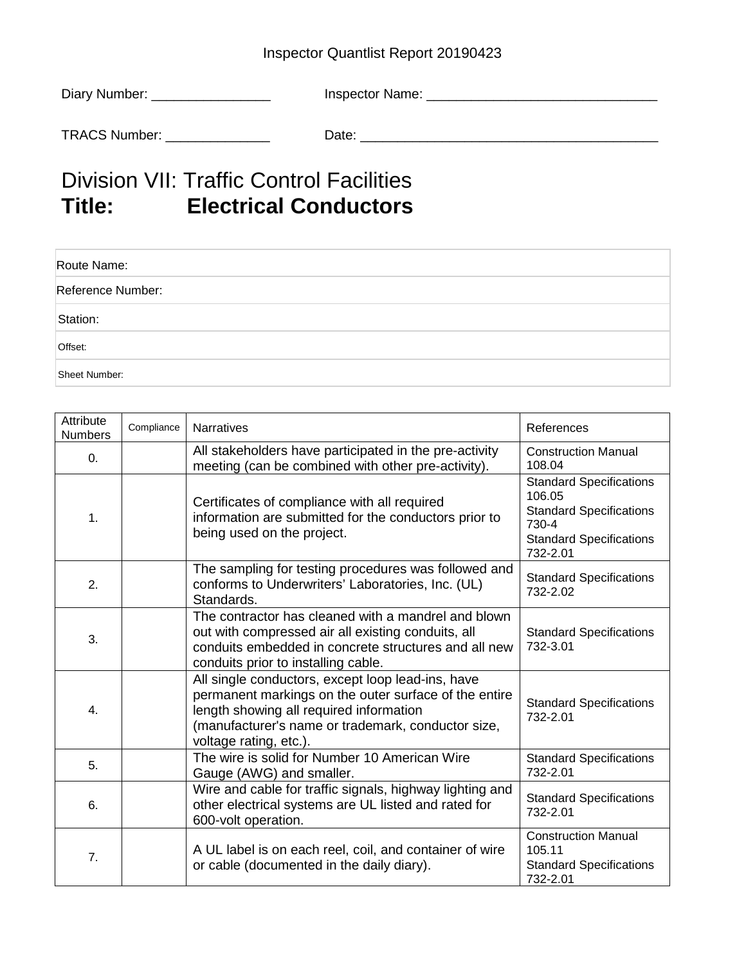## Inspector Quantlist Report 20190423

| Diary Number: | Inspector Name: |
|---------------|-----------------|
| TRACS Number: | Date:           |

## Division VII: Traffic Control Facilities **Title: Electrical Conductors**

| Route Name:       |  |
|-------------------|--|
| Reference Number: |  |
| Station:          |  |
| Offset:           |  |
| Sheet Number:     |  |

| Attribute<br><b>Numbers</b> | Compliance | <b>Narratives</b>                                                                                                                                                                                                                     | References                                                                                                                        |
|-----------------------------|------------|---------------------------------------------------------------------------------------------------------------------------------------------------------------------------------------------------------------------------------------|-----------------------------------------------------------------------------------------------------------------------------------|
| 0.                          |            | All stakeholders have participated in the pre-activity<br>meeting (can be combined with other pre-activity).                                                                                                                          | <b>Construction Manual</b><br>108.04                                                                                              |
| 1.                          |            | Certificates of compliance with all required<br>information are submitted for the conductors prior to<br>being used on the project.                                                                                                   | <b>Standard Specifications</b><br>106.05<br><b>Standard Specifications</b><br>730-4<br><b>Standard Specifications</b><br>732-2.01 |
| 2.                          |            | The sampling for testing procedures was followed and<br>conforms to Underwriters' Laboratories, Inc. (UL)<br>Standards.                                                                                                               | <b>Standard Specifications</b><br>732-2.02                                                                                        |
| 3.                          |            | The contractor has cleaned with a mandrel and blown<br>out with compressed air all existing conduits, all<br>conduits embedded in concrete structures and all new<br>conduits prior to installing cable.                              | <b>Standard Specifications</b><br>732-3.01                                                                                        |
| 4.                          |            | All single conductors, except loop lead-ins, have<br>permanent markings on the outer surface of the entire<br>length showing all required information<br>(manufacturer's name or trademark, conductor size,<br>voltage rating, etc.). | <b>Standard Specifications</b><br>732-2.01                                                                                        |
| 5.                          |            | The wire is solid for Number 10 American Wire<br>Gauge (AWG) and smaller.                                                                                                                                                             | <b>Standard Specifications</b><br>732-2.01                                                                                        |
| 6.                          |            | Wire and cable for traffic signals, highway lighting and<br>other electrical systems are UL listed and rated for<br>600-volt operation.                                                                                               | <b>Standard Specifications</b><br>732-2.01                                                                                        |
| 7.                          |            | A UL label is on each reel, coil, and container of wire<br>or cable (documented in the daily diary).                                                                                                                                  | <b>Construction Manual</b><br>105.11<br><b>Standard Specifications</b><br>732-2.01                                                |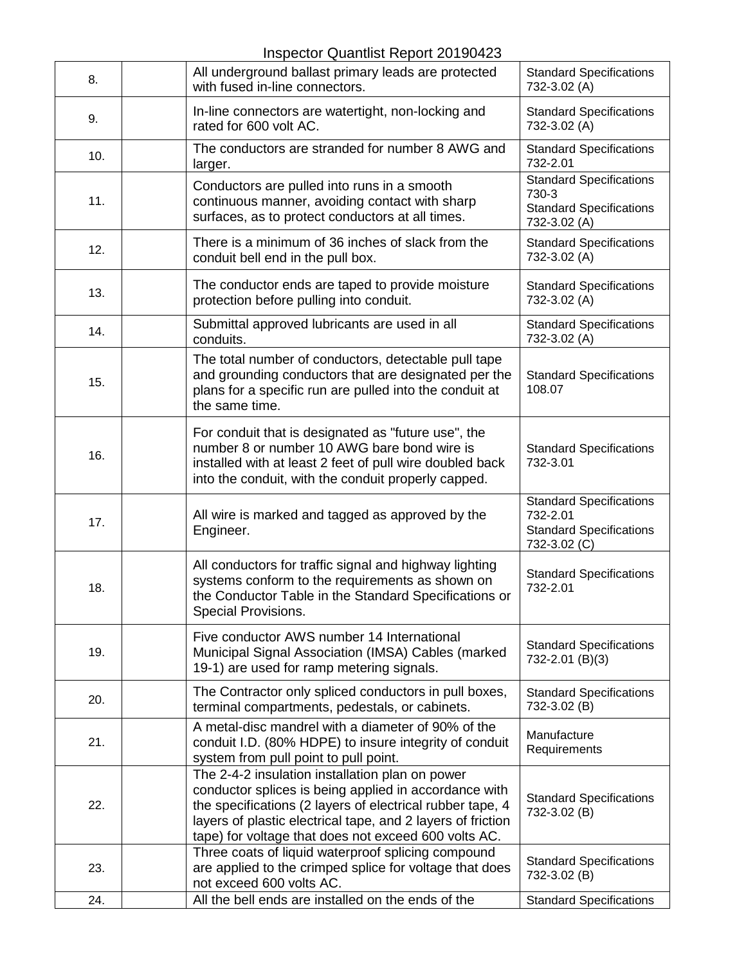Inspector Quantlist Report 20190423

| 8.  | All underground ballast primary leads are protected<br>with fused in-line connectors.                                                                                                                                                                                                        | <b>Standard Specifications</b><br>732-3.02 (A)                                               |
|-----|----------------------------------------------------------------------------------------------------------------------------------------------------------------------------------------------------------------------------------------------------------------------------------------------|----------------------------------------------------------------------------------------------|
| 9.  | In-line connectors are watertight, non-locking and<br>rated for 600 volt AC.                                                                                                                                                                                                                 | <b>Standard Specifications</b><br>732-3.02 (A)                                               |
| 10. | The conductors are stranded for number 8 AWG and<br>larger.                                                                                                                                                                                                                                  | <b>Standard Specifications</b><br>732-2.01                                                   |
| 11. | Conductors are pulled into runs in a smooth<br>continuous manner, avoiding contact with sharp<br>surfaces, as to protect conductors at all times.                                                                                                                                            | <b>Standard Specifications</b><br>730-3<br><b>Standard Specifications</b><br>732-3.02 (A)    |
| 12. | There is a minimum of 36 inches of slack from the<br>conduit bell end in the pull box.                                                                                                                                                                                                       | <b>Standard Specifications</b><br>732-3.02 (A)                                               |
| 13. | The conductor ends are taped to provide moisture<br>protection before pulling into conduit.                                                                                                                                                                                                  | <b>Standard Specifications</b><br>732-3.02 (A)                                               |
| 14. | Submittal approved lubricants are used in all<br>conduits.                                                                                                                                                                                                                                   | <b>Standard Specifications</b><br>732-3.02 (A)                                               |
| 15. | The total number of conductors, detectable pull tape<br>and grounding conductors that are designated per the<br>plans for a specific run are pulled into the conduit at<br>the same time.                                                                                                    | <b>Standard Specifications</b><br>108.07                                                     |
| 16. | For conduit that is designated as "future use", the<br>number 8 or number 10 AWG bare bond wire is<br>installed with at least 2 feet of pull wire doubled back<br>into the conduit, with the conduit properly capped.                                                                        | <b>Standard Specifications</b><br>732-3.01                                                   |
| 17. | All wire is marked and tagged as approved by the<br>Engineer.                                                                                                                                                                                                                                | <b>Standard Specifications</b><br>732-2.01<br><b>Standard Specifications</b><br>732-3.02 (C) |
| 18. | All conductors for traffic signal and highway lighting<br>systems conform to the requirements as shown on<br>the Conductor Table in the Standard Specifications or<br>Special Provisions.                                                                                                    | <b>Standard Specifications</b><br>732-2.01                                                   |
| 19. | Five conductor AWS number 14 International<br>Municipal Signal Association (IMSA) Cables (marked<br>19-1) are used for ramp metering signals.                                                                                                                                                | <b>Standard Specifications</b><br>732-2.01 (B)(3)                                            |
| 20. | The Contractor only spliced conductors in pull boxes,<br>terminal compartments, pedestals, or cabinets.                                                                                                                                                                                      | <b>Standard Specifications</b><br>732-3.02 (B)                                               |
| 21. | A metal-disc mandrel with a diameter of 90% of the<br>conduit I.D. (80% HDPE) to insure integrity of conduit<br>system from pull point to pull point.                                                                                                                                        | Manufacture<br>Requirements                                                                  |
| 22. | The 2-4-2 insulation installation plan on power<br>conductor splices is being applied in accordance with<br>the specifications (2 layers of electrical rubber tape, 4<br>layers of plastic electrical tape, and 2 layers of friction<br>tape) for voltage that does not exceed 600 volts AC. | <b>Standard Specifications</b><br>732-3.02 (B)                                               |
| 23. | Three coats of liquid waterproof splicing compound<br>are applied to the crimped splice for voltage that does<br>not exceed 600 volts AC.                                                                                                                                                    | <b>Standard Specifications</b><br>732-3.02 (B)                                               |
| 24. | All the bell ends are installed on the ends of the                                                                                                                                                                                                                                           | <b>Standard Specifications</b>                                                               |